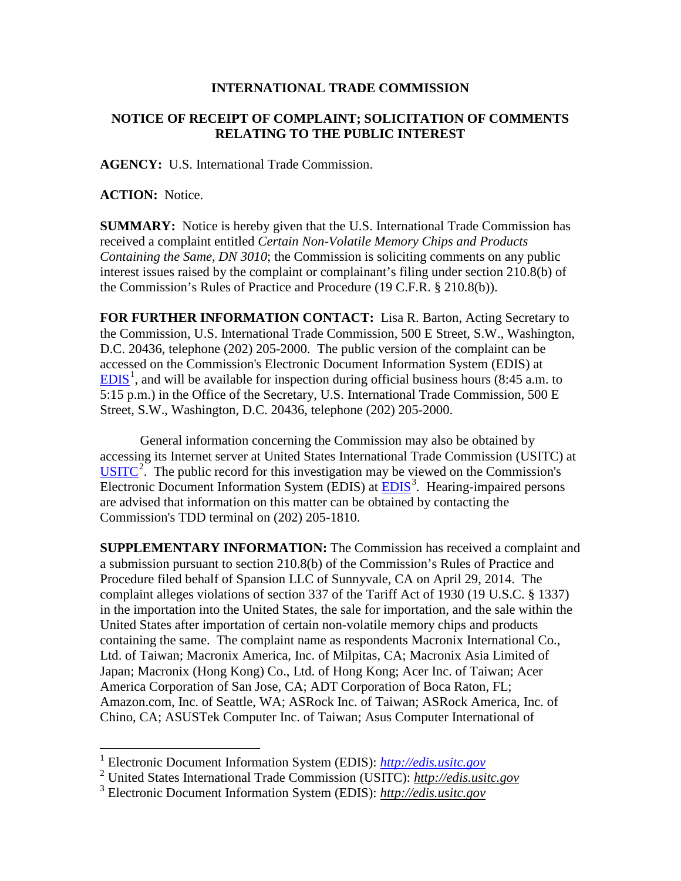## **INTERNATIONAL TRADE COMMISSION**

## **NOTICE OF RECEIPT OF COMPLAINT; SOLICITATION OF COMMENTS RELATING TO THE PUBLIC INTEREST**

**AGENCY:** U.S. International Trade Commission.

**ACTION:** Notice.

 $\overline{a}$ 

**SUMMARY:** Notice is hereby given that the U.S. International Trade Commission has received a complaint entitled *Certain Non-Volatile Memory Chips and Products Containing the Same, DN 3010*; the Commission is soliciting comments on any public interest issues raised by the complaint or complainant's filing under section 210.8(b) of the Commission's Rules of Practice and Procedure (19 C.F.R. § 210.8(b)).

**FOR FURTHER INFORMATION CONTACT:** Lisa R. Barton, Acting Secretary to the Commission, U.S. International Trade Commission, 500 E Street, S.W., Washington, D.C. 20436, telephone (202) 205-2000. The public version of the complaint can be accessed on the Commission's Electronic Document Information System (EDIS) at  $EDIS<sup>1</sup>$  $EDIS<sup>1</sup>$  $EDIS<sup>1</sup>$  $EDIS<sup>1</sup>$ , and will be available for inspection during official business hours (8:45 a.m. to 5:15 p.m.) in the Office of the Secretary, U.S. International Trade Commission, 500 E Street, S.W., Washington, D.C. 20436, telephone (202) 205-2000.

General information concerning the Commission may also be obtained by accessing its Internet server at United States International Trade Commission (USITC) at  $\overline{USTTC}^2$  $\overline{USTTC}^2$ . The public record for this investigation may be viewed on the Commission's Electronic Document Information System (EDIS) at **EDIS**<sup>[3](#page-0-2)</sup>. Hearing-impaired persons are advised that information on this matter can be obtained by contacting the Commission's TDD terminal on (202) 205-1810.

**SUPPLEMENTARY INFORMATION:** The Commission has received a complaint and a submission pursuant to section 210.8(b) of the Commission's Rules of Practice and Procedure filed behalf of Spansion LLC of Sunnyvale, CA on April 29, 2014. The complaint alleges violations of section 337 of the Tariff Act of 1930 (19 U.S.C. § 1337) in the importation into the United States, the sale for importation, and the sale within the United States after importation of certain non-volatile memory chips and products containing the same. The complaint name as respondents Macronix International Co., Ltd. of Taiwan; Macronix America, Inc. of Milpitas, CA; Macronix Asia Limited of Japan; Macronix (Hong Kong) Co., Ltd. of Hong Kong; Acer Inc. of Taiwan; Acer America Corporation of San Jose, CA; ADT Corporation of Boca Raton, FL; Amazon.com, Inc. of Seattle, WA; ASRock Inc. of Taiwan; ASRock America, Inc. of Chino, CA; ASUSTek Computer Inc. of Taiwan; Asus Computer International of

<sup>1</sup> Electronic Document Information System (EDIS): *[http://edis.usitc.gov](http://edis.usitc.gov/)*

<span id="page-0-1"></span><span id="page-0-0"></span><sup>2</sup> United States International Trade Commission (USITC): *http://edis.usitc.gov*

<span id="page-0-2"></span><sup>3</sup> Electronic Document Information System (EDIS): *http://edis.usitc.gov*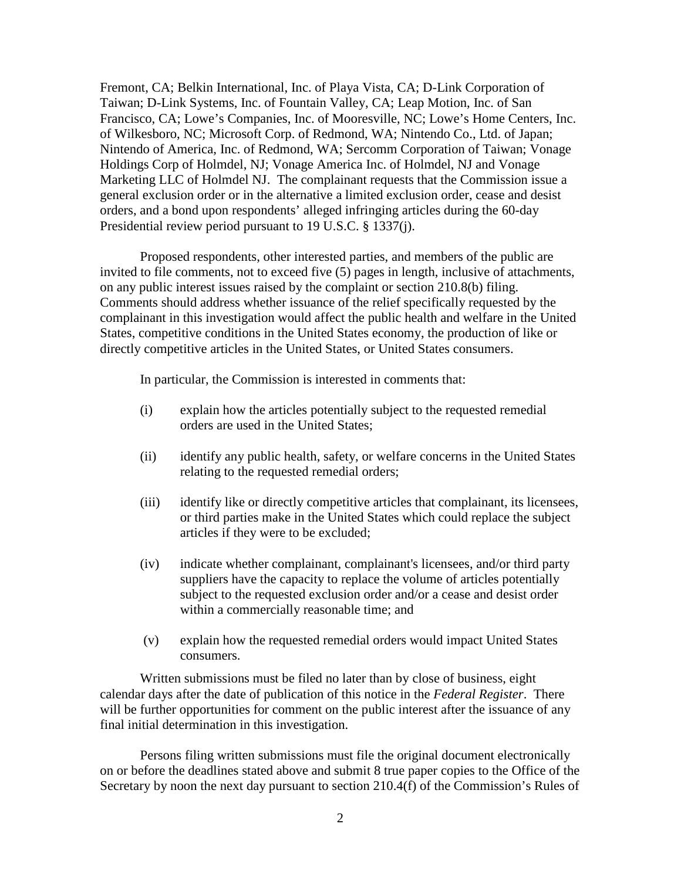Fremont, CA; Belkin International, Inc. of Playa Vista, CA; D-Link Corporation of Taiwan; D-Link Systems, Inc. of Fountain Valley, CA; Leap Motion, Inc. of San Francisco, CA; Lowe's Companies, Inc. of Mooresville, NC; Lowe's Home Centers, Inc. of Wilkesboro, NC; Microsoft Corp. of Redmond, WA; Nintendo Co., Ltd. of Japan; Nintendo of America, Inc. of Redmond, WA; Sercomm Corporation of Taiwan; Vonage Holdings Corp of Holmdel, NJ; Vonage America Inc. of Holmdel, NJ and Vonage Marketing LLC of Holmdel NJ. The complainant requests that the Commission issue a general exclusion order or in the alternative a limited exclusion order, cease and desist orders, and a bond upon respondents' alleged infringing articles during the 60-day Presidential review period pursuant to 19 U.S.C. § 1337(j).

Proposed respondents, other interested parties, and members of the public are invited to file comments, not to exceed five (5) pages in length, inclusive of attachments, on any public interest issues raised by the complaint or section 210.8(b) filing. Comments should address whether issuance of the relief specifically requested by the complainant in this investigation would affect the public health and welfare in the United States, competitive conditions in the United States economy, the production of like or directly competitive articles in the United States, or United States consumers.

In particular, the Commission is interested in comments that:

- (i) explain how the articles potentially subject to the requested remedial orders are used in the United States;
- (ii) identify any public health, safety, or welfare concerns in the United States relating to the requested remedial orders;
- (iii) identify like or directly competitive articles that complainant, its licensees, or third parties make in the United States which could replace the subject articles if they were to be excluded;
- (iv) indicate whether complainant, complainant's licensees, and/or third party suppliers have the capacity to replace the volume of articles potentially subject to the requested exclusion order and/or a cease and desist order within a commercially reasonable time; and
- (v) explain how the requested remedial orders would impact United States consumers.

Written submissions must be filed no later than by close of business, eight calendar days after the date of publication of this notice in the *Federal Register*. There will be further opportunities for comment on the public interest after the issuance of any final initial determination in this investigation.

Persons filing written submissions must file the original document electronically on or before the deadlines stated above and submit 8 true paper copies to the Office of the Secretary by noon the next day pursuant to section 210.4(f) of the Commission's Rules of